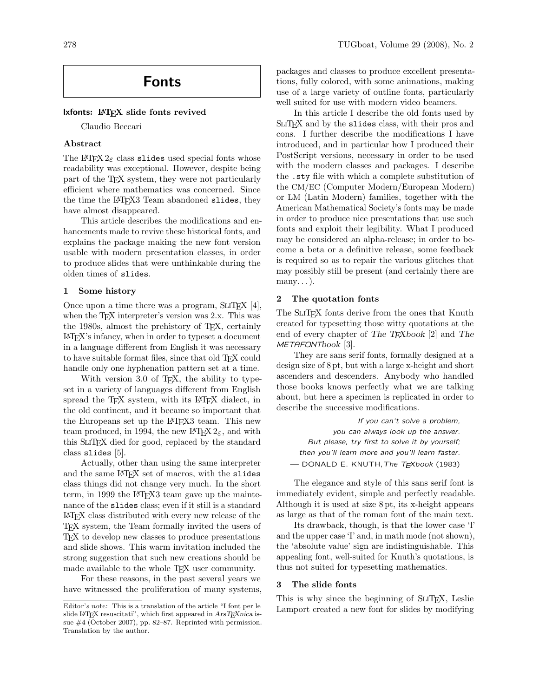# Fonts

## lxfonts: LAT<sub>E</sub>X slide fonts revived

Claudio Beccari

# Abstract

The L<sup>AT</sup>EX  $2\varepsilon$  class slides used special fonts whose readability was exceptional. However, despite being part of the T<sub>EX</sub> system, they were not particularly efficient where mathematics was concerned. Since the time the LAT<sub>F</sub>X3 Team abandoned slides, they have almost disappeared.

This article describes the modifications and enhancements made to revive these historical fonts, and explains the package making the new font version usable with modern presentation classes, in order to produce slides that were unthinkable during the olden times of slides.

### 1 Some history

Once upon a time there was a program,  $SLTEX$  [4], when the T<sub>E</sub>X interpreter's version was 2.x. This was the 1980s, almost the prehistory of TEX, certainly LATEX's infancy, when in order to typeset a document in a language different from English it was necessary to have suitable format files, since that old T<sub>E</sub>X could handle only one hyphenation pattern set at a time.

With version 3.0 of T<sub>E</sub>X, the ability to typeset in a variety of languages different from English spread the TEX system, with its L<sup>AT</sup>EX dialect, in the old continent, and it became so important that the Europeans set up the LATEX3 team. This new team produced, in 1994, the new  $\mathbb{F} \mathbb{F} \times \mathbb{Z}$  and with this SliTEX died for good, replaced by the standard class slides [5].

Actually, other than using the same interpreter and the same LATFX set of macros, with the slides class things did not change very much. In the short term, in 1999 the LAT<sub>F</sub>X3 team gave up the maintenance of the slides class; even if it still is a standard LATEX class distributed with every new release of the TEX system, the Team formally invited the users of TEX to develop new classes to produce presentations and slide shows. This warm invitation included the strong suggestion that such new creations should be made available to the whole TFX user community.

For these reasons, in the past several years we have witnessed the proliferation of many systems, packages and classes to produce excellent presentations, fully colored, with some animations, making use of a large variety of outline fonts, particularly well suited for use with modern video beamers.

In this article I describe the old fonts used by SLIT<sub>F</sub>X and by the slides class, with their pros and cons. I further describe the modifications I have introduced, and in particular how I produced their PostScript versions, necessary in order to be used with the modern classes and packages. I describe the .sty file with which a complete substitution of the CM/EC (Computer Modern/European Modern) or LM (Latin Modern) families, together with the American Mathematical Society's fonts may be made in order to produce nice presentations that use such fonts and exploit their legibility. What I produced may be considered an alpha-release; in order to become a beta or a definitive release, some feedback is required so as to repair the various glitches that may possibly still be present (and certainly there are  $many...$ ).

# 2 The quotation fonts

The SLIT<sub>EX</sub> fonts derive from the ones that Knuth created for typesetting those witty quotations at the end of every chapter of The TEXbook [2] and The METAFONTbook [3].

They are sans serif fonts, formally designed at a design size of 8 pt, but with a large x-height and short ascenders and descenders. Anybody who handled those books knows perfectly what we are talking about, but here a specimen is replicated in order to describe the successive modifications.

If you can't solve a problem, you can always look up the answer. But please, try first to solve it by yourself; then you'll learn more and you'll learn faster. - DONALD E. KNUTH, The TEXbook (1983)

The elegance and style of this sans serif font is immediately evident, simple and perfectly readable. Although it is used at size 8 pt, its x-height appears as large as that of the roman font of the main text.

Its drawback, though, is that the lower case 'l' and the upper case 'I' and, in math mode (not shown), the 'absolute value' sign are indistinguishable. This appealing font, well-suited for Knuth's quotations, is thus not suited for typesetting mathematics.

#### 3 The slide fonts

This is why since the beginning of SLITEX, Leslie Lamport created a new font for slides by modifying

Editor's note: This is a translation of the article "I font per le slide IATEX resuscitati", which first appeared in ArsTEXnica issue #4 (October 2007), pp. 82–87. Reprinted with permission. Translation by the author.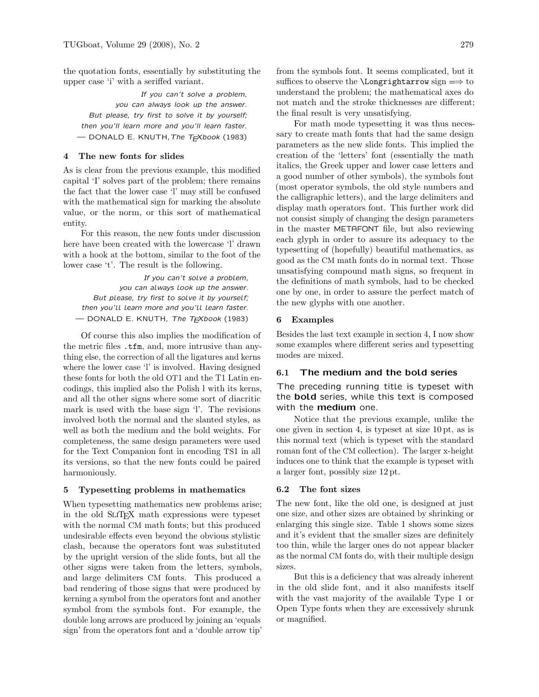the quotation fonts, essentially by substituting the upper case 'i' with a seriffed variant.

If you can't solve a problem, you can always look up the answer. But please, try first to solve it by yourself; then you'll learn more and you'll learn faster. — DONALD E. KNUTH,The TEXbook (1983)

# 4 The new fonts for slides

As is clear from the previous example, this modified capital 'I' solves part of the problem; there remains the fact that the lower case 'l' may still be confused with the mathematical sign for marking the absolute value, or the norm, or this sort of mathematical entity.

For this reason, the new fonts under discussion here have been created with the lowercase 'l' drawn with a hook at the bottom, similar to the foot of the lower case 't'. The result is the following.

If you can't solve a problem, you can always look up the answer. But please, try first to solve it by yourself; then you'll learn more and you'll learn faster. - DONALD E. KNUTH, The TEXbook (1983)

Of course this also implies the modification of the metric files .tfm, and, more intrusive than anything else, the correction of all the ligatures and kerns where the lower case 'l' is involved. Having designed these fonts for both the old OT1 and the T1 Latin encodings, this implied also the Polish l with its kerns, and all the other signs where some sort of diacritic mark is used with the base sign 'l'. The revisions involved both the normal and the slanted styles, as well as both the medium and the bold weights. For completeness, the same design parameters were used for the Text Companion font in encoding TS1 in all its versions, so that the new fonts could be paired harmoniously.

#### 5 Typesetting problems in mathematics

When typesetting mathematics new problems arise; in the old SliTEX math expressions were typeset with the normal CM math fonts; but this produced undesirable effects even beyond the obvious stylistic clash, because the operators font was substituted by the upright version of the slide fonts, but all the other signs were taken from the letters, symbols, and large delimiters CM fonts. This produced a bad rendering of those signs that were produced by kerning a symbol from the operators font and another symbol from the symbols font. For example, the double long arrows are produced by joining an 'equals sign' from the operators font and a 'double arrow tip' from the symbols font. It seems complicated, but it suffices to observe the  $\Longrightarrow$  sign  $\Longrightarrow$  to understand the problem; the mathematical axes do not match and the stroke thicknesses are different; the final result is very unsatisfying.

For math mode typesetting it was thus necessary to create math fonts that had the same design parameters as the new slide fonts. This implied the creation of the 'letters' font (essentially the math italics, the Greek upper and lower case letters and a good number of other symbols), the symbols font (most operator symbols, the old style numbers and the calligraphic letters), and the large delimiters and display math operators font. This further work did not consist simply of changing the design parameters in the master METAFONT file, but also reviewing each glyph in order to assure its adequacy to the typesetting of (hopefully) beautiful mathematics, as good as the CM math fonts do in normal text. Those unsatisfying compound math signs, so frequent in the definitions of math symbols, had to be checked one by one, in order to assure the perfect match of the new glyphs with one another.

# 6 Examples

Besides the last text example in section 4, I now show some examples where different series and typesetting modes are mixed.

# 6.1 The medium and the bold series

The preceding running title is typeset with the **bold** series, while this text is composed with the medium one.

Notice that the previous example, unlike the one given in section 4, is typeset at size 10 pt, as is this normal text (which is typeset with the standard roman font of the CM collection). The larger x-height induces one to think that the example is typeset with a larger font, possibly size 12 pt.

#### 6.2 The font sizes

The new font, like the old one, is designed at just one size, and other sizes are obtained by shrinking or enlarging this single size. Table 1 shows some sizes and it's evident that the smaller sizes are definitely too thin, while the larger ones do not appear blacker as the normal CM fonts do, with their multiple design sizes.

But this is a deficiency that was already inherent in the old slide font, and it also manifests itself with the vast majority of the available Type 1 or Open Type fonts when they are excessively shrunk or magnified.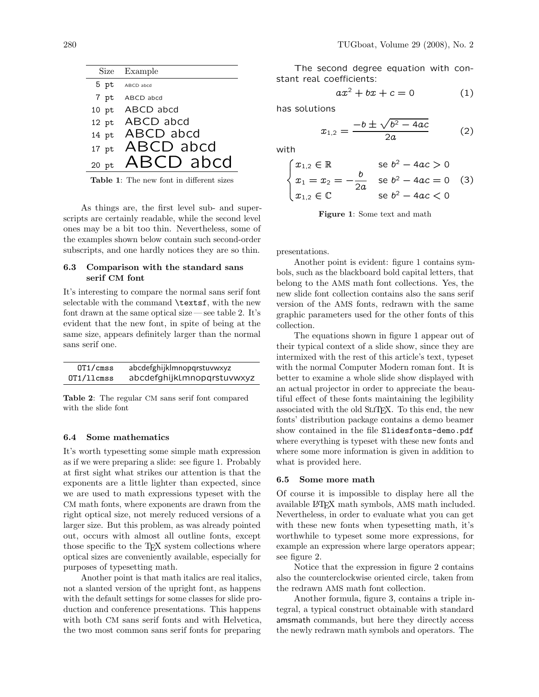| Size Example      |
|-------------------|
| 5 pt ABCD abcd    |
| 7 pt ABCD abcd    |
| 10 pt ABCD abcd   |
| 12 pt ABCD abcd   |
| 14 pt ABCD abcd   |
| 17 pt $ABCD$ abcd |
| 20 pt ABCD abcd   |

Table 1: The new font in different sizes

As things are, the first level sub- and superscripts are certainly readable, while the second level ones may be a bit too thin. Nevertheless, some of the examples shown below contain such second-order subscripts, and one hardly notices they are so thin.

# 6.3 Comparison with the standard sans serif CM font

It's interesting to compare the normal sans serif font selectable with the command \textsf, with the new font drawn at the same optical size — see table 2. It's evident that the new font, in spite of being at the same size, appears definitely larger than the normal sans serif one.  $\sum_{n=1}^{\infty}$  The equations shown in figure 1 appear out of

| 0T1/cmss   | abcdefghijklmnopqrstuvwxyz |
|------------|----------------------------|
| 0T1/llcmss | abcdefghijklmnopqrstuvwxyz |

Table 2: The regular CM sans serif font compared with the slide font

# 6.4 Some mathematics

It's worth typesetting some simple math expression as if we were preparing a slide: see figure 1. Probably at first sight what strikes our attention is that the exponents are a little lighter than expected, since we are used to math expressions typeset with the CM math fonts, where exponents are drawn from the right optical size, not merely reduced versions of a larger size. But this problem, as was already pointed out, occurs with almost all outline fonts, except those specific to the T<sub>E</sub>X system collections where optical sizes are conveniently available, especially for purposes of typesetting math.

Another point is that math italics are real italics, not a slanted version of the upright font, as happens with the default settings for some classes for slide production and conference presentations. This happens with both CM sans serif fonts and with Helvetica, the two most common sans serif fonts for preparing

The second degree equation with constant real coefficients:

$$
ax^2 + bx + c = 0 \tag{1}
$$

has solutions

$$
x_{1,2} = \frac{-b \pm \sqrt{b^2 - 4ac}}{2a} \tag{2}
$$

with

$$
\begin{cases} x_{1,2} \in \mathbb{R} & \text{se } b^2 - 4ac > 0 \\ x_1 = x_2 = -\frac{b}{2a} & \text{se } b^2 - 4ac = 0 \\ x_{1,2} \in \mathbb{C} & \text{se } b^2 - 4ac < 0 \end{cases}
$$
 (3)

Figure 1: Some text and math

presentations.

Another point is evident: figure 1 contains symbols, such as the blackboard bold capital letters, that belong to the AMS math font collections. Yes, the new slide font collection contains also the sans serif version of the AMS fonts, redrawn with the same graphic parameters used for the other fonts of this collection.

their typical context of a slide show, since they are intermixed with the rest of this article's text, typeset with the normal Computer Modern roman font. It is better to examine a whole slide show displayed with an actual projector in order to appreciate the beautiful effect of these fonts maintaining the legibility associated with the old SliTEX. To this end, the new fonts' distribution package contains a demo beamer show contained in the file Slidesfonts-demo.pdf where everything is typeset with these new fonts and where some more information is given in addition to what is provided here.

### 6.5 Some more math

Of course it is impossible to display here all the available LATEX math symbols, AMS math included. Nevertheless, in order to evaluate what you can get with these new fonts when typesetting math, it's worthwhile to typeset some more expressions, for example an expression where large operators appear; see figure 2.

Notice that the expression in figure 2 contains also the counterclockwise oriented circle, taken from the redrawn AMS math font collection.

Another formula, figure 3, contains a triple integral, a typical construct obtainable with standard amsmath commands, but here they directly access the newly redrawn math symbols and operators. The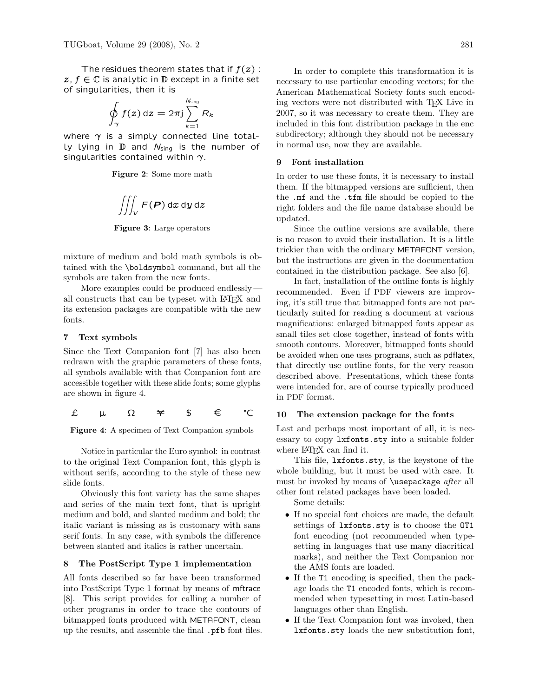The residues theorem states that if  $f(z)$ :  $z, f \in \mathbb{C}$  is analytic in  $\mathbb D$  except in a finite set of singularities, then it is

$$
\oint_{\gamma} f(z) dz = 2\pi j \sum_{k=1}^{N_{\text{sing}}} R_k
$$

where  $\gamma$  is a simply connected line total-Ly lying in  $D$  and  $N_{sing}$  is the number of singularities contained within  $\gamma$ .  $\qquad \qquad 9$  Font installation

Figure 2: Some more math

$$
\iiint_V F(\boldsymbol{P}) \, dx \, dy \, dz
$$

Figure 3: Large operators

mixture of medium and bold math symbols is obtained with the \boldsymbol command, but all the symbols are taken from the new fonts.

More examples could be produced endlessly all constructs that can be typeset with LATEX and its extension packages are compatible with the new fonts.

# 7 Text symbols

Since the Text Companion font [7] has also been redrawn with the graphic parameters of these fonts, all symbols available with that Companion font are accessible together with these slide fonts; some glyphs are shown in figure 4.

č ţ W ě \$ £ Ľ

Figure 4: A specimen of Text Companion symbols

Notice in particular the Euro symbol: in contrast to the original Text Companion font, this glyph is without serifs, according to the style of these new slide fonts.

Obviously this font variety has the same shapes and series of the main text font, that is upright medium and bold, and slanted medium and bold; the italic variant is missing as is customary with sans serif fonts. In any case, with symbols the difference between slanted and italics is rather uncertain.

# 8 The PostScript Type 1 implementation

All fonts described so far have been transformed into PostScript Type 1 format by means of mftrace [8]. This script provides for calling a number of other programs in order to trace the contours of bitmapped fonts produced with METAFONT, clean up the results, and assemble the final .pfb font files.

In order to complete this transformation it is necessary to use particular encoding vectors; for the American Mathematical Society fonts such encoding vectors were not distributed with TEX Live in 2007, so it was necessary to create them. They are included in this font distribution package in the enc subdirectory; although they should not be necessary in normal use, now they are available.

#### 9 Font installation

In order to use these fonts, it is necessary to install them. If the bitmapped versions are sufficient, then the .mf and the .tfm file should be copied to the right folders and the file name database should be updated.

Since the outline versions are available, there is no reason to avoid their installation. It is a little trickier than with the ordinary METAFONT version, but the instructions are given in the documentation contained in the distribution package. See also [6].

cessible together with these slide fonts; some glyphs were intended for, are of course typically produced In fact, installation of the outline fonts is highly recommended. Even if PDF viewers are improving, it's still true that bitmapped fonts are not particularly suited for reading a document at various magnifications: enlarged bitmapped fonts appear as small tiles set close together, instead of fonts with smooth contours. Moreover, bitmapped fonts should be avoided when one uses programs, such as pdflatex, that directly use outline fonts, for the very reason described above. Presentations, which these fonts in PDF format.

## 10 The extension package for the fonts

Last and perhaps most important of all, it is necessary to copy lxfonts.sty into a suitable folder where L<sup>AT</sup>EX can find it.

This file, lxfonts.sty, is the keystone of the whole building, but it must be used with care. It must be invoked by means of *\usepackage after all* other font related packages have been loaded.

Some details:

- If no special font choices are made, the default settings of lxfonts.sty is to choose the OT1 font encoding (not recommended when typesetting in languages that use many diacritical marks), and neither the Text Companion nor the AMS fonts are loaded.
- If the T1 encoding is specified, then the package loads the T1 encoded fonts, which is recommended when typesetting in most Latin-based languages other than English.
- If the Text Companion font was invoked, then lxfonts.sty loads the new substitution font,